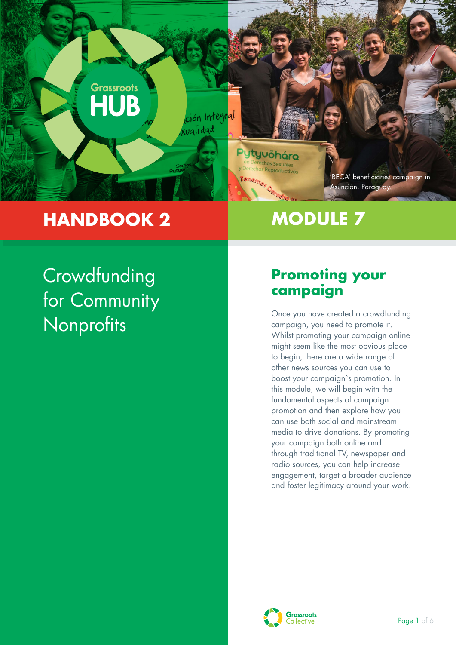

# **HANDBOOK 2**

# **MODULE 7**

# **Crowdfunding** for Community **Nonprofits**

## **Promoting your campaign**

Once you have created a crowdfunding campaign, you need to promote it. Whilst promoting your campaign online might seem like the most obvious place to begin, there are a wide range of other news sources you can use to boost your campaign`s promotion. In this module, we will begin with the fundamental aspects of campaign promotion and then explore how you can use both social and mainstream media to drive donations. By promoting your campaign both online and through traditional TV, newspaper and radio sources, you can help increase engagement, target a broader audience and foster legitimacy around your work.

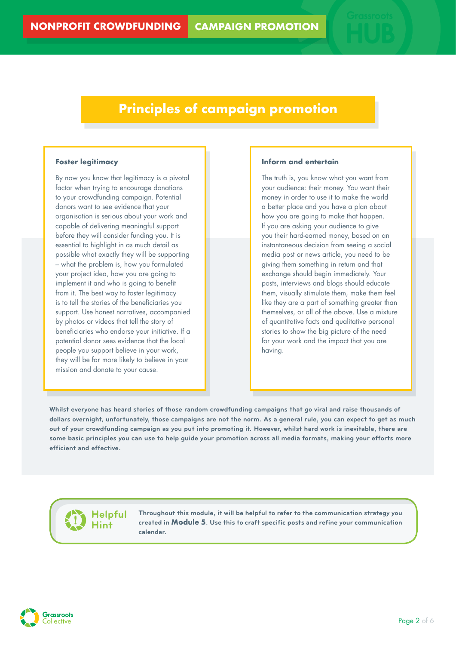### **Principles of campaign promotion**

#### **Foster legitimacy**

By now you know that legitimacy is a pivotal factor when trying to encourage donations to your crowdfunding campaign. Potential donors want to see evidence that your organisation is serious about your work and capable of delivering meaningful support before they will consider funding you. It is essential to highlight in as much detail as possible what exactly they will be supporting – what the problem is, how you formulated your project idea, how you are going to implement it and who is going to benefit from it. The best way to foster legitimacy is to tell the stories of the beneficiaries you support. Use honest narratives, accompanied by photos or videos that tell the story of beneficiaries who endorse your initiative. If a potential donor sees evidence that the local people you support believe in your work, they will be far more likely to believe in your mission and donate to your cause.

#### **Inform and entertain**

The truth is, you know what you want from your audience: their money. You want their money in order to use it to make the world a better place and you have a plan about how you are going to make that happen. If you are asking your audience to give you their hard-earned money, based on an instantaneous decision from seeing a social media post or news article, you need to be giving them something in return and that exchange should begin immediately. Your posts, interviews and blogs should educate them, visually stimulate them, make them feel like they are a part of something greater than themselves, or all of the above. Use a mixture of quantitative facts and qualitative personal stories to show the big picture of the need for your work and the impact that you are having.

**Whilst everyone has heard stories of those random crowdfunding campaigns that go viral and raise thousands of dollars overnight, unfortunately, those campaigns are not the norm. As a general rule, you can expect to get as much out of your crowdfunding campaign as you put into promoting it. However, whilst hard work is inevitable, there are some basic principles you can use to help guide your promotion across all media formats, making your efforts more efficient and effective.**

**Helpful Hint**

**Throughout this module, it will be helpful to refer to the communication strategy you created in Module 5. Use this to craft specific posts and refine your communication calendar.** 

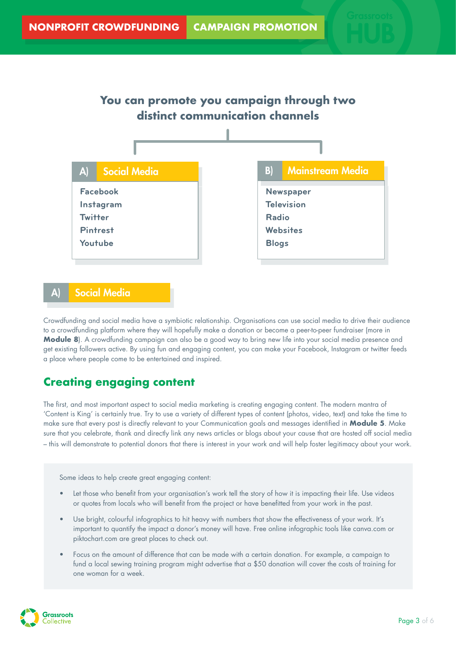

### **Social Media**

Crowdfunding and social media have a symbiotic relationship. Organisations can use social media to drive their audience to a crowdfunding platform where they will hopefully make a donation or become a peer-to-peer fundraiser (more in **Module 8**). A crowdfunding campaign can also be a good way to bring new life into your social media presence and get existing followers active. By using fun and engaging content, you can make your Facebook, Instagram or twitter feeds a place where people come to be entertained and inspired.

### **Creating engaging content**

The first, and most important aspect to social media marketing is creating engaging content. The modern mantra of 'Content is King' is certainly true. Try to use a variety of different types of content (photos, video, text) and take the time to make sure that every post is directly relevant to your Communication goals and messages identified in **Module 5**. Make sure that you celebrate, thank and directly link any news articles or blogs about your cause that are hosted off social media – this will demonstrate to potential donors that there is interest in your work and will help foster legitimacy about your work.

Some ideas to help create great engaging content:

- Let those who benefit from your organisation's work tell the story of how it is impacting their life. Use videos or quotes from locals who will benefit from the project or have benefitted from your work in the past.
- Use bright, colourful infographics to hit heavy with numbers that show the effectiveness of your work. It's important to quantify the impact a donor's money will have. Free online infographic tools like canva.com or piktochart.com are great places to check out.
- Focus on the amount of difference that can be made with a certain donation. For example, a campaign to fund a local sewing training program might advertise that a \$50 donation will cover the costs of training for one woman for a week.

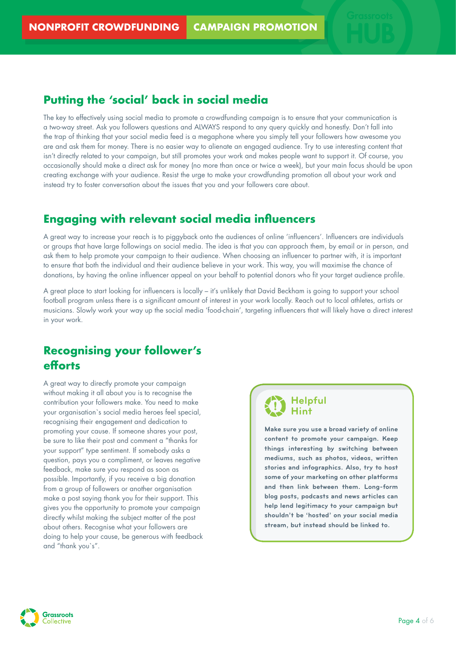### **Putting the 'social' back in social media**

The key to effectively using social media to promote a crowdfunding campaign is to ensure that your communication is a two-way street. Ask you followers questions and ALWAYS respond to any query quickly and honestly. Don't fall into the trap of thinking that your social media feed is a megaphone where you simply tell your followers how awesome you are and ask them for money. There is no easier way to alienate an engaged audience. Try to use interesting content that isn't directly related to your campaign, but still promotes your work and makes people want to support it. Of course, you occasionally should make a direct ask for money (no more than once or twice a week), but your main focus should be upon creating exchange with your audience. Resist the urge to make your crowdfunding promotion all about your work and instead try to foster conversation about the issues that you and your followers care about.

### **Engaging with relevant social media influencers**

A great way to increase your reach is to piggyback onto the audiences of online 'influencers'. Influencers are individuals or groups that have large followings on social media. The idea is that you can approach them, by email or in person, and ask them to help promote your campaign to their audience. When choosing an influencer to partner with, it is important to ensure that both the individual and their audience believe in your work. This way, you will maximise the chance of donations, by having the online influencer appeal on your behalf to potential donors who fit your target audience profile.

A great place to start looking for influencers is locally – it's unlikely that David Beckham is going to support your school football program unless there is a significant amount of interest in your work locally. Reach out to local athletes, artists or musicians. Slowly work your way up the social media 'food-chain', targeting influencers that will likely have a direct interest in your work.

### **Recognising your follower's efforts**

A great way to directly promote your campaign without making it all about you is to recognise the contribution your followers make. You need to make your organisation`s social media heroes feel special, recognising their engagement and dedication to promoting your cause. If someone shares your post, be sure to like their post and comment a "thanks for your support" type sentiment. If somebody asks a question, pays you a compliment, or leaves negative feedback, make sure you respond as soon as possible. Importantly, if you receive a big donation from a group of followers or another organisation make a post saying thank you for their support. This gives you the opportunity to promote your campaign directly whilst making the subject matter of the post about others. Recognise what your followers are doing to help your cause, be generous with feedback and "thank you`s".

#### **Helpful Hint**

**Make sure you use a broad variety of online content to promote your campaign. Keep things interesting by switching between mediums, such as photos, videos, written stories and infographics. Also, try to host some of your marketing on other platforms and then link between them. Long-form blog posts, podcasts and news articles can help lend legitimacy to your campaign but shouldn't be 'hosted' on your social media stream, but instead should be linked to.** 

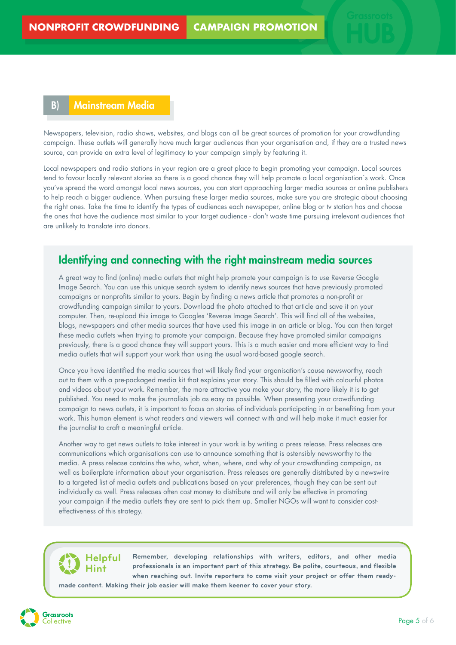#### B) Mainstream Media

Newspapers, television, radio shows, websites, and blogs can all be great sources of promotion for your crowdfunding campaign. These outlets will generally have much larger audiences than your organisation and, if they are a trusted news source, can provide an extra level of legitimacy to your campaign simply by featuring it.

Local newspapers and radio stations in your region are a great place to begin promoting your campaign. Local sources tend to favour locally relevant stories so there is a good chance they will help promote a local organisation`s work. Once you've spread the word amongst local news sources, you can start approaching larger media sources or online publishers to help reach a bigger audience. When pursuing these larger media sources, make sure you are strategic about choosing the right ones. Take the time to identify the types of audiences each newspaper, online blog or tv station has and choose the ones that have the audience most similar to your target audience - don't waste time pursuing irrelevant audiences that are unlikely to translate into donors.

#### Identifying and connecting with the right mainstream media sources

A great way to find (online) media outlets that might help promote your campaign is to use Reverse Google Image Search. You can use this unique search system to identify news sources that have previously promoted campaigns or nonprofits similar to yours. Begin by finding a news article that promotes a non-profit or crowdfunding campaign similar to yours. Download the photo attached to that article and save it on your computer. Then, re-upload this image to Googles 'Reverse Image Search'. This will find all of the websites, blogs, newspapers and other media sources that have used this image in an article or blog. You can then target these media outlets when trying to promote your campaign. Because they have promoted similar campaigns previously, there is a good chance they will support yours. This is a much easier and more efficient way to find media outlets that will support your work than using the usual word-based google search.

Once you have identified the media sources that will likely find your organisation's cause newsworthy, reach out to them with a pre-packaged media kit that explains your story. This should be filled with colourful photos and videos about your work. Remember, the more attractive you make your story, the more likely it is to get published. You need to make the journalists job as easy as possible. When presenting your crowdfunding campaign to news outlets, it is important to focus on stories of individuals participating in or benefiting from your work. This human element is what readers and viewers will connect with and will help make it much easier for the journalist to craft a meaningful article.

Another way to get news outlets to take interest in your work is by writing a press release. Press releases are communications which organisations can use to announce something that is ostensibly newsworthy to the media. A press release contains the who, what, when, where, and why of your crowdfunding campaign, as well as boilerplate information about your organisation. Press releases are generally distributed by a newswire to a targeted list of media outlets and publications based on your preferences, though they can be sent out individually as well. Press releases often cost money to distribute and will only be effective in promoting your campaign if the media outlets they are sent to pick them up. Smaller NGOs will want to consider costeffectiveness of this strategy.

#### **Helpful Hint**

**Remember, developing relationships with writers, editors, and other media professionals is an important part of this strategy. Be polite, courteous, and flexible when reaching out. Invite reporters to come visit your project or offer them ready-**

**made content. Making their job easier will make them keener to cover your story.**